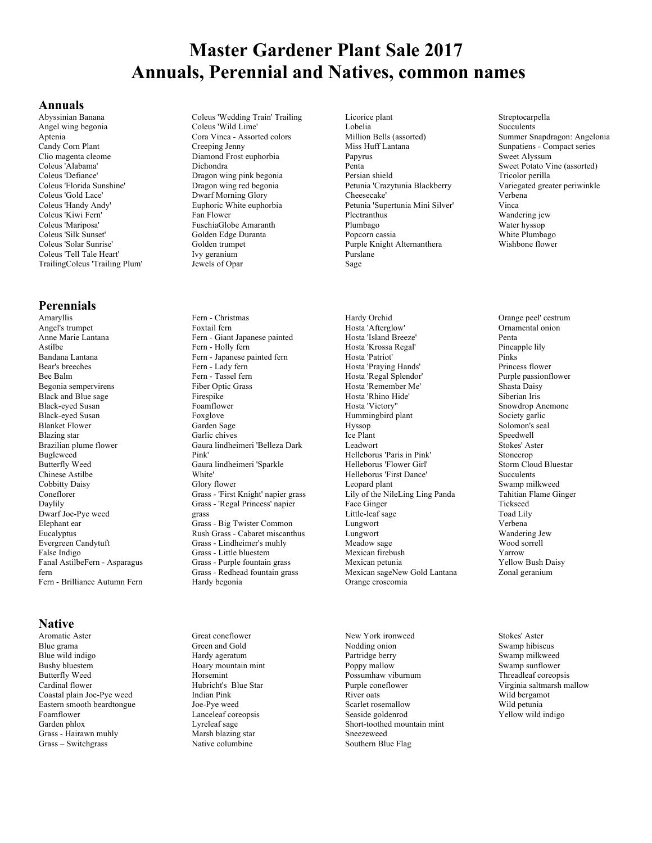# **Master Gardener Plant Sale 2017 Annuals, Perennial and Natives, common names**

#### **Annuals**

Abyssinian Banana Angel wing begonia Aptenia Candy Corn Plant Clio magenta cleome Coleus 'Alabama' Coleus 'Defiance' Coleus 'Florida Sunshine' Coleus 'Gold Lace' Coleus 'Handy Andy' Coleus 'Kiwi Fern' Coleus 'Mariposa' Coleus 'Silk Sunset' Coleus 'Solar Sunrise' Coleus 'Tell Tale Heart' TrailingColeus 'Trailing Plum'

## **Perennials**

Amaryllis Angel's trumpet Anne Marie Lantana Astilbe Bandana Lantana Bear's breeches Bee Balm Begonia sempervirens Black and Blue sage Black-eyed Susan Black-eyed Susan Blanket Flower Blazing star Brazilian plume flower Bugleweed Butterfly Weed Chinese Astilbe Cobbitty Daisy Coneflorer Daylily Dwarf Joe-Pye weed Elephant ear Eucalyptus Evergreen Candytuft False Indigo Fanal AstilbeFern - Asparagus fern Fern - Brilliance Autumn Fern

#### **Native**

Aromatic Aster Blue grama Blue wild indigo Bushy bluestem Butterfly Weed Cardinal flower Coastal plain Joe-Pye weed Eastern smooth beardtongue Foamflower Garden phlox Grass - Hairawn muhly Grass – Switchgrass

Coleus 'Wedding Train' Trailing Coleus 'Wild Lime' Cora Vinca - Assorted colors Creeping Jenny Diamond Frost euphorbia Dichondra Dragon wing pink begonia Dragon wing red begonia Dwarf Morning Glory Euphoric White euphorbia Fan Flower FuschiaGlobe Amaranth Golden Edge Duranta Golden trumpet Ivy geranium Jewels of Opar

Fern - Christmas Foxtail fern Fern - Giant Japanese painted Fern - Holly fern Fern - Japanese painted fern Fern - Lady fern Fern - Tassel fern Fiber Optic Grass Firespike Foamflower Foxglove Garden Sage Garlic chives Gaura lindheimeri 'Belleza Dark Pink' Gaura lindheimeri 'Sparkle White' Glory flower Grass - 'First Knight' napier grass Grass - 'Regal Princess' napier grass Grass - Big Twister Common Rush Grass - Cabaret miscanthus Grass - Lindheimer's muhly Grass - Little bluestem Grass - Purple fountain grass Grass - Redhead fountain grass Hardy begonia

Great coneflower Green and Gold Hardy ageratum Hoary mountain mint Horsemint Hubricht's Blue Star Indian Pink Joe-Pye weed Lanceleaf coreopsis Lyreleaf sage Marsh blazing star Native columbine

Licorice plant Lobelia Million Bells (assorted) Miss Huff Lantana Papyrus Penta Persian shield Petunia 'Crazytunia Blackberry Cheesecake' Petunia 'Supertunia Mini Silver' Plectranthus Plumbago Popcorn cassia Purple Knight Alternanthera Purslane Sage

Hardy Orchid Hosta 'Afterglow' Hosta 'Island Breeze' Hosta 'Krossa Regal' Hosta 'Patriot' Hosta 'Praying Hands' Hosta 'Regal Splendor' Hosta 'Remember Me' Hosta 'Rhino Hide' Hosta 'Victory'' Hummingbird plant Hyssop Ice Plant Leadwort Helleborus 'Paris in Pink' Helleborus 'Flower Girl' Helleborus 'First Dance' Leopard plant Lily of the NileLing Ling Panda Face Ginger Little-leaf sage Lungwort Lungwort Meadow sage Mexican firebush Mexican petunia Mexican sageNew Gold Lantana Orange croscomia

New York ironweed Nodding onion Partridge berry Poppy mallow Possumhaw viburnum Purple coneflower River oats Scarlet rosemallow Seaside goldenrod Short-toothed mountain mint Sneezeweed Southern Blue Flag

Streptocarpella Succulents Summer Snapdragon: Angelonia Sunpatiens - Compact series Sweet Alyssum Sweet Potato Vine (assorted) Tricolor perilla Variegated greater periwinkle Verbena Vinca Wandering jew Water hyssop White Plumbago Wishbone flower

Orange peel' cestrum Ornamental onion Penta Pineapple lily Pinks Princess flower Purple passionflower Shasta Daisy Siberian Iris Snowdrop Anemone Society garlic Solomon's seal Speedwell Stokes' Aster Stonecrop Storm Cloud Bluestar Succulents Swamp milkweed Tahitian Flame Ginger Tickseed Toad Lily Verbena Wandering Jew Wood sorrell Yarrow Yellow Bush Daisy Zonal geranium

Stokes' Aster Swamp hibiscus Swamp milkweed Swamp sunflower Threadleaf coreopsis Virginia saltmarsh mallow Wild bergamot Wild petunia Yellow wild indigo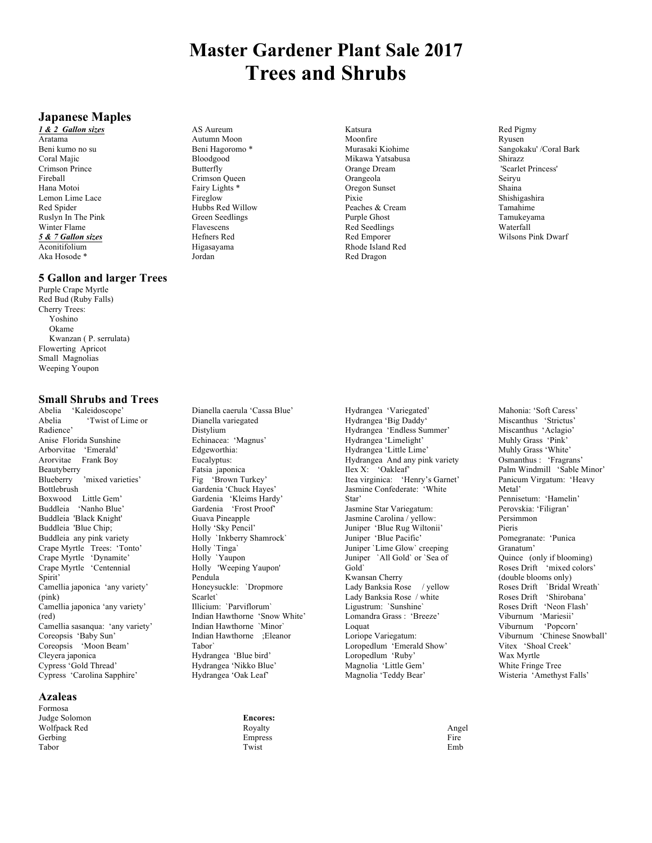# **Master Gardener Plant Sale 2017 Trees and Shrubs**

## **Japanese Maples**

*1 & 2 Gallon sizes* Aratama Beni kumo no su Coral Majic Crimson Prince Fireball Hana Motoi Lemon Lime Lace Red Spider Ruslyn In The Pink Winter Flame *5 & 7 Gallon sizes* Aconitifolium Aka Hosode \*

#### **5 Gallon and larger Trees**

Purple Crape Myrtle Red Bud (Ruby Falls) Cherry Trees: Yoshino Okame Kwanzan ( P. serrulata) Flowerting Apricot Small Magnolias Weeping Youpon

#### **Small Shrubs and Trees**

Abelia 'Kaleidoscope' Abelia 'Twist of Lime or Radience' Anise Florida Sunshine Arborvitae 'Emerald' Arorvitae Frank Boy Beautyberry 'mixed varieties' Bottlebrush Boxwood Little Gem' Buddleia 'Nanho Blue' Buddleia 'Black Knight' Buddleia 'Blue Chip; Buddleia any pink variety Crape Myrtle Trees: 'Tonto' Crape Myrtle 'Dynamite' Crape Myrtle 'Centennial Spirit' Camellia japonica 'any variety' (pink) Camellia japonica 'any variety' (red) Camellia sasanqua: 'any variety' Coreopsis 'Baby Sun' Coreopsis 'Moon Beam' Cleyera japonica Cypress 'Gold Thread' Cypress 'Carolina Sapphire'

### **Azaleas**

Formosa Judge Solomon Wolfpack Red Gerbing Tabor

AS Aureum Autumn Moon Beni Hagoromo \* Bloodgood Butterfly Crimson Queen Fairy Lights \* Fireglow Hubbs Red Willow Green Seedlings Flavescens Hefners Red Higasayama Jordan

Katsura Moonfire Murasaki Kiohime Mikawa Yatsabusa Orange Dream Orangeola Oregon Sunset Pixie Peaches & Cream Purple Ghost Red Seedlings Red Emporer Rhode Island Red Red Dragon

Red Pigmy Ryusen Sangokaku' /Coral Bark Shirazz 'Scarlet Princess' Seiryu Shaina Shishigashira Tamahime Tamukeyama Waterfall Wilsons Pink Dwarf

Dianella caerula 'Cassa Blue' Dianella variegated Distylium Echinacea: 'Magnus' Edgeworthia: Eucalyptus: Fatsia japonica Fig 'Brown Turkey' Gardenia 'Chuck Hayes' Gardenia 'Kleims Hardy' Gardenia 'Frost Proof' Guava Pineapple Holly 'Sky Pencil' Holly `Inkberry Shamrock` Holly `Tinga` Holly `Yaupon Holly 'Weeping Yaupon' Pendula Honeysuckle: `Dropmore Scarlet` Illicium: `Parviflorum` Indian Hawthorne 'Snow White' Indian Hawthorne `Minor` Indian Hawthorne ;Eleanor Tabor` Hydrangea 'Blue bird' Hydrangea 'Nikko Blue' Hydrangea 'Oak Leaf'

Hydrangea 'Variegated' Hydrangea 'Big Daddy' Hydrangea 'Endless Summer' Hydrangea 'Limelight' Hydrangea 'Little Lime' Hydrangea And any pink variety Ilex X: 'Oakleaf' Itea virginica: 'Henry's Garnet' Jasmine Confederate: 'White Star' Jasmine Star Variegatum: Jasmine Carolina / yellow: Juniper 'Blue Rug Wiltonii' Juniper 'Blue Pacific' Juniper `Lime Glow` creeping Juniper `All Gold` or `Sea of Gold` Kwansan Cherry Lady Banksia Rose / yellow Lady Banksia Rose / white Ligustrum: `Sunshine` Lomandra Grass : 'Breeze' Loquat Loriope Variegatum: Loropedlum 'Emerald Show' Loropedlum 'Ruby' Magnolia 'Little Gem' Magnolia 'Teddy Bear'

Mahonia: 'Soft Caress' Miscanthus 'Strictus' Miscanthus 'Aclagio' Muhly Grass 'Pink' Muhly Grass 'White' Osmanthus : 'Fragrans' Palm Windmill 'Sable Minor' Panicum Virgatum: 'Heavy Metal' Pennisetum: 'Hamelin' Perovskia: 'Filigran' Persimmon Pieris Pomegranate: 'Punica Granatum' Quince (only if blooming) Roses Drift 'mixed colors' (double blooms only) Roses Drift `Bridal Wreath` Roses Drift 'Shirobana' Roses Drift 'Neon Flash' Viburnum 'Mariesii' Viburnum 'Popcorn' Viburnum 'Chinese Snowball' Vitex 'Shoal Creek' Wax Myrtle White Fringe Tree Wisteria 'Amethyst Falls'

Angel Fire Emb

**Encores:** Royalty Empress Twist